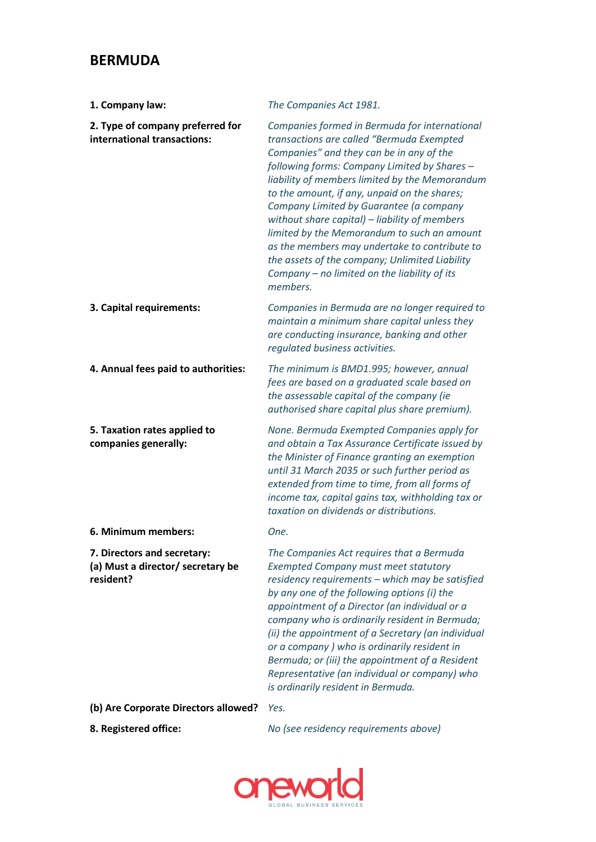## **BERMUDA**

| 1. Company law:                                                               | The Companies Act 1981.                                                                                                                                                                                                                                                                                                                                                                                                                                                                                                                                                                            |
|-------------------------------------------------------------------------------|----------------------------------------------------------------------------------------------------------------------------------------------------------------------------------------------------------------------------------------------------------------------------------------------------------------------------------------------------------------------------------------------------------------------------------------------------------------------------------------------------------------------------------------------------------------------------------------------------|
| 2. Type of company preferred for<br>international transactions:               | Companies formed in Bermuda for international<br>transactions are called "Bermuda Exempted<br>Companies" and they can be in any of the<br>following forms: Company Limited by Shares -<br>liability of members limited by the Memorandum<br>to the amount, if any, unpaid on the shares;<br>Company Limited by Guarantee (a company<br>without share capital) - liability of members<br>limited by the Memorandum to such an amount<br>as the members may undertake to contribute to<br>the assets of the company; Unlimited Liability<br>Company - no limited on the liability of its<br>members. |
| 3. Capital requirements:                                                      | Companies in Bermuda are no longer required to<br>maintain a minimum share capital unless they<br>are conducting insurance, banking and other<br>regulated business activities.                                                                                                                                                                                                                                                                                                                                                                                                                    |
| 4. Annual fees paid to authorities:                                           | The minimum is BMD1.995; however, annual<br>fees are based on a graduated scale based on<br>the assessable capital of the company (ie<br>authorised share capital plus share premium).                                                                                                                                                                                                                                                                                                                                                                                                             |
| 5. Taxation rates applied to<br>companies generally:                          | None. Bermuda Exempted Companies apply for<br>and obtain a Tax Assurance Certificate issued by<br>the Minister of Finance granting an exemption<br>until 31 March 2035 or such further period as<br>extended from time to time, from all forms of<br>income tax, capital gains tax, withholding tax or<br>taxation on dividends or distributions.                                                                                                                                                                                                                                                  |
| 6. Minimum members:                                                           | One.                                                                                                                                                                                                                                                                                                                                                                                                                                                                                                                                                                                               |
| 7. Directors and secretary:<br>(a) Must a director/ secretary be<br>resident? | The Companies Act requires that a Bermuda<br><b>Exempted Company must meet statutory</b><br>residency requirements - which may be satisfied<br>by any one of the following options (i) the<br>appointment of a Director (an individual or a<br>company who is ordinarily resident in Bermuda;<br>(ii) the appointment of a Secretary (an individual<br>or a company ) who is ordinarily resident in<br>Bermuda; or (iii) the appointment of a Resident<br>Representative (an individual or company) who<br>is ordinarily resident in Bermuda.                                                      |
| (b) Are Corporate Directors allowed?                                          | Yes.                                                                                                                                                                                                                                                                                                                                                                                                                                                                                                                                                                                               |

**8. Registered office:** *No (see residency requirements above)*